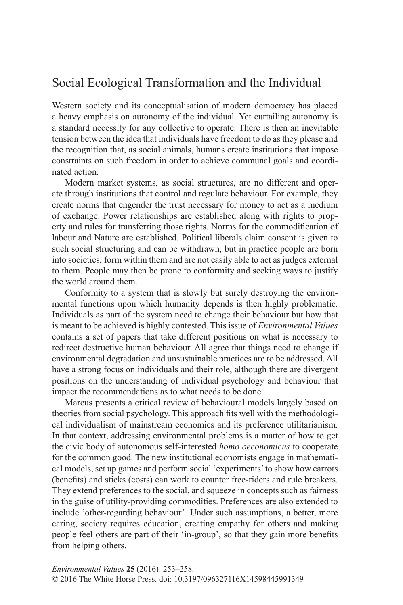# Social Ecological Transformation and the Individual

Western society and its conceptualisation of modern democracy has placed a heavy emphasis on autonomy of the individual. Yet curtailing autonomy is a standard necessity for any collective to operate. There is then an inevitable tension between the idea that individuals have freedom to do as they please and the recognition that, as social animals, humans create institutions that impose constraints on such freedom in order to achieve communal goals and coordinated action.

Modern market systems, as social structures, are no different and operate through institutions that control and regulate behaviour. For example, they create norms that engender the trust necessary for money to act as a medium of exchange. Power relationships are established along with rights to property and rules for transferring those rights. Norms for the commodification of labour and Nature are established. Political liberals claim consent is given to such social structuring and can be withdrawn, but in practice people are born into societies, form within them and are not easily able to act as judges external to them. People may then be prone to conformity and seeking ways to justify the world around them.

Conformity to a system that is slowly but surely destroying the environmental functions upon which humanity depends is then highly problematic. Individuals as part of the system need to change their behaviour but how that is meant to be achieved is highly contested. This issue of *Environmental Values* contains a set of papers that take different positions on what is necessary to redirect destructive human behaviour. All agree that things need to change if environmental degradation and unsustainable practices are to be addressed. All have a strong focus on individuals and their role, although there are divergent positions on the understanding of individual psychology and behaviour that impact the recommendations as to what needs to be done.

Marcus presents a critical review of behavioural models largely based on theories from social psychology. This approach fits well with the methodological individualism of mainstream economics and its preference utilitarianism. In that context, addressing environmental problems is a matter of how to get the civic body of autonomous self-interested *homo oeconomicus* to cooperate for the common good. The new institutional economists engage in mathematical models, set up games and perform social 'experiments' to show how carrots (benefits) and sticks (costs) can work to counter free-riders and rule breakers. They extend preferences to the social, and squeeze in concepts such as fairness in the guise of utility-providing commodities. Preferences are also extended to include 'other-regarding behaviour'. Under such assumptions, a better, more caring, society requires education, creating empathy for others and making people feel others are part of their 'in-group', so that they gain more benefits from helping others.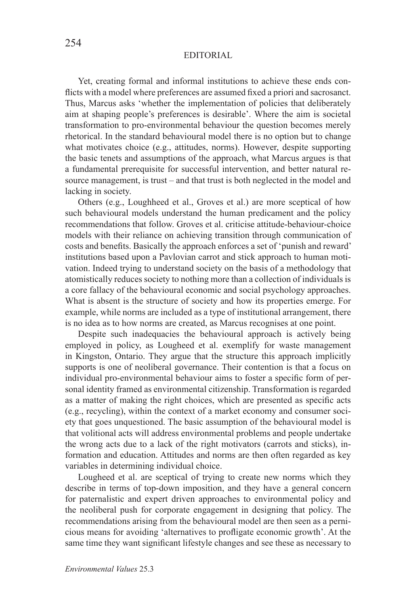Yet, creating formal and informal institutions to achieve these ends conflicts with a model where preferences are assumed fixed a priori and sacrosanct. Thus, Marcus asks 'whether the implementation of policies that deliberately aim at shaping people's preferences is desirable'. Where the aim is societal transformation to pro-environmental behaviour the question becomes merely rhetorical. In the standard behavioural model there is no option but to change what motivates choice (e.g., attitudes, norms). However, despite supporting the basic tenets and assumptions of the approach, what Marcus argues is that a fundamental prerequisite for successful intervention, and better natural resource management, is trust – and that trust is both neglected in the model and lacking in society.

Others (e.g., Loughheed et al., Groves et al.) are more sceptical of how such behavioural models understand the human predicament and the policy recommendations that follow. Groves et al. criticise attitude-behaviour-choice models with their reliance on achieving transition through communication of costs and benefits. Basically the approach enforces a set of 'punish and reward' institutions based upon a Pavlovian carrot and stick approach to human motivation. Indeed trying to understand society on the basis of a methodology that atomistically reduces society to nothing more than a collection of individuals is a core fallacy of the behavioural economic and social psychology approaches. What is absent is the structure of society and how its properties emerge. For example, while norms are included as a type of institutional arrangement, there is no idea as to how norms are created, as Marcus recognises at one point.

Despite such inadequacies the behavioural approach is actively being employed in policy, as Lougheed et al. exemplify for waste management in Kingston, Ontario. They argue that the structure this approach implicitly supports is one of neoliberal governance. Their contention is that a focus on individual pro-environmental behaviour aims to foster a specific form of personal identity framed as environmental citizenship. Transformation is regarded as a matter of making the right choices, which are presented as specific acts (e.g., recycling), within the context of a market economy and consumer society that goes unquestioned. The basic assumption of the behavioural model is that volitional acts will address environmental problems and people undertake the wrong acts due to a lack of the right motivators (carrots and sticks), information and education. Attitudes and norms are then often regarded as key variables in determining individual choice.

Lougheed et al. are sceptical of trying to create new norms which they describe in terms of top-down imposition, and they have a general concern for paternalistic and expert driven approaches to environmental policy and the neoliberal push for corporate engagement in designing that policy. The recommendations arising from the behavioural model are then seen as a pernicious means for avoiding 'alternatives to profligate economic growth'. At the same time they want significant lifestyle changes and see these as necessary to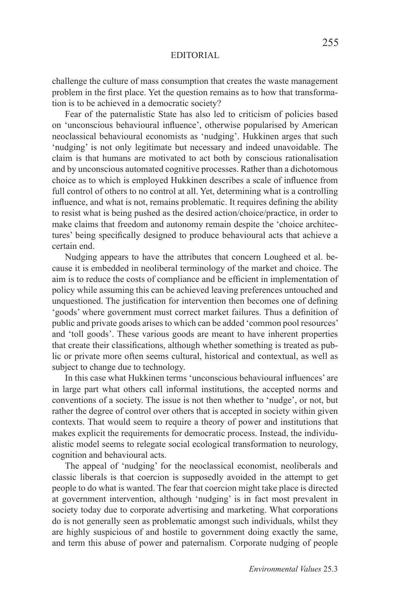challenge the culture of mass consumption that creates the waste management problem in the first place. Yet the question remains as to how that transformation is to be achieved in a democratic society?

Fear of the paternalistic State has also led to criticism of policies based on 'unconscious behavioural influence', otherwise popularised by American neoclassical behavioural economists as 'nudging'. Hukkinen arges that such 'nudging' is not only legitimate but necessary and indeed unavoidable. The claim is that humans are motivated to act both by conscious rationalisation and by unconscious automated cognitive processes. Rather than a dichotomous choice as to which is employed Hukkinen describes a scale of influence from full control of others to no control at all. Yet, determining what is a controlling influence, and what is not, remains problematic. It requires defining the ability to resist what is being pushed as the desired action/choice/practice, in order to make claims that freedom and autonomy remain despite the 'choice architectures' being specifically designed to produce behavioural acts that achieve a certain end.

Nudging appears to have the attributes that concern Lougheed et al. because it is embedded in neoliberal terminology of the market and choice. The aim is to reduce the costs of compliance and be efficient in implementation of policy while assuming this can be achieved leaving preferences untouched and unquestioned. The justification for intervention then becomes one of defining 'goods' where government must correct market failures. Thus a definition of public and private goods arises to which can be added 'common pool resources' and 'toll goods'. These various goods are meant to have inherent properties that create their classifications, although whether something is treated as public or private more often seems cultural, historical and contextual, as well as subject to change due to technology.

In this case what Hukkinen terms 'unconscious behavioural influences' are in large part what others call informal institutions, the accepted norms and conventions of a society. The issue is not then whether to 'nudge', or not, but rather the degree of control over others that is accepted in society within given contexts. That would seem to require a theory of power and institutions that makes explicit the requirements for democratic process. Instead, the individualistic model seems to relegate social ecological transformation to neurology, cognition and behavioural acts.

The appeal of 'nudging' for the neoclassical economist, neoliberals and classic liberals is that coercion is supposedly avoided in the attempt to get people to do what is wanted. The fear that coercion might take place is directed at government intervention, although 'nudging' is in fact most prevalent in society today due to corporate advertising and marketing. What corporations do is not generally seen as problematic amongst such individuals, whilst they are highly suspicious of and hostile to government doing exactly the same, and term this abuse of power and paternalism. Corporate nudging of people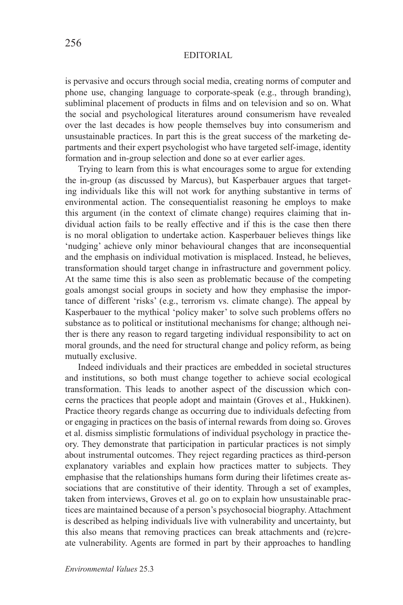is pervasive and occurs through social media, creating norms of computer and phone use, changing language to corporate-speak (e.g., through branding), subliminal placement of products in films and on television and so on. What the social and psychological literatures around consumerism have revealed over the last decades is how people themselves buy into consumerism and unsustainable practices. In part this is the great success of the marketing departments and their expert psychologist who have targeted self-image, identity formation and in-group selection and done so at ever earlier ages.

Trying to learn from this is what encourages some to argue for extending the in-group (as discussed by Marcus), but Kasperbauer argues that targeting individuals like this will not work for anything substantive in terms of environmental action. The consequentialist reasoning he employs to make this argument (in the context of climate change) requires claiming that individual action fails to be really effective and if this is the case then there is no moral obligation to undertake action. Kasperbauer believes things like 'nudging' achieve only minor behavioural changes that are inconsequential and the emphasis on individual motivation is misplaced. Instead, he believes, transformation should target change in infrastructure and government policy. At the same time this is also seen as problematic because of the competing goals amongst social groups in society and how they emphasise the importance of different 'risks' (e.g., terrorism vs. climate change). The appeal by Kasperbauer to the mythical 'policy maker' to solve such problems offers no substance as to political or institutional mechanisms for change; although neither is there any reason to regard targeting individual responsibility to act on moral grounds, and the need for structural change and policy reform, as being mutually exclusive.

Indeed individuals and their practices are embedded in societal structures and institutions, so both must change together to achieve social ecological transformation. This leads to another aspect of the discussion which concerns the practices that people adopt and maintain (Groves et al., Hukkinen). Practice theory regards change as occurring due to individuals defecting from or engaging in practices on the basis of internal rewards from doing so. Groves et al. dismiss simplistic formulations of individual psychology in practice theory. They demonstrate that participation in particular practices is not simply about instrumental outcomes. They reject regarding practices as third-person explanatory variables and explain how practices matter to subjects. They emphasise that the relationships humans form during their lifetimes create associations that are constitutive of their identity. Through a set of examples, taken from interviews, Groves et al. go on to explain how unsustainable practices are maintained because of a person's psychosocial biography. Attachment is described as helping individuals live with vulnerability and uncertainty, but this also means that removing practices can break attachments and (re)create vulnerability. Agents are formed in part by their approaches to handling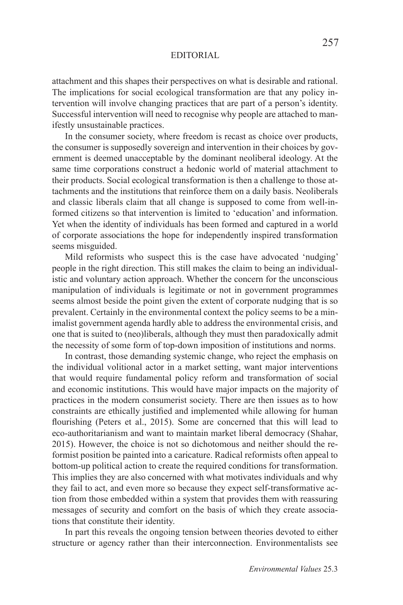attachment and this shapes their perspectives on what is desirable and rational. The implications for social ecological transformation are that any policy intervention will involve changing practices that are part of a person's identity. Successful intervention will need to recognise why people are attached to manifestly unsustainable practices.

In the consumer society, where freedom is recast as choice over products, the consumer is supposedly sovereign and intervention in their choices by government is deemed unacceptable by the dominant neoliberal ideology. At the same time corporations construct a hedonic world of material attachment to their products. Social ecological transformation is then a challenge to those attachments and the institutions that reinforce them on a daily basis. Neoliberals and classic liberals claim that all change is supposed to come from well-informed citizens so that intervention is limited to 'education' and information. Yet when the identity of individuals has been formed and captured in a world of corporate associations the hope for independently inspired transformation seems misguided.

Mild reformists who suspect this is the case have advocated 'nudging' people in the right direction. This still makes the claim to being an individualistic and voluntary action approach. Whether the concern for the unconscious manipulation of individuals is legitimate or not in government programmes seems almost beside the point given the extent of corporate nudging that is so prevalent. Certainly in the environmental context the policy seems to be a minimalist government agenda hardly able to address the environmental crisis, and one that is suited to (neo)liberals, although they must then paradoxically admit the necessity of some form of top-down imposition of institutions and norms.

In contrast, those demanding systemic change, who reject the emphasis on the individual volitional actor in a market setting, want major interventions that would require fundamental policy reform and transformation of social and economic institutions. This would have major impacts on the majority of practices in the modern consumerist society. There are then issues as to how constraints are ethically justified and implemented while allowing for human flourishing (Peters et al., 2015). Some are concerned that this will lead to eco-authoritarianism and want to maintain market liberal democracy (Shahar, 2015). However, the choice is not so dichotomous and neither should the reformist position be painted into a caricature. Radical reformists often appeal to bottom-up political action to create the required conditions for transformation. This implies they are also concerned with what motivates individuals and why they fail to act, and even more so because they expect self-transformative action from those embedded within a system that provides them with reassuring messages of security and comfort on the basis of which they create associations that constitute their identity.

In part this reveals the ongoing tension between theories devoted to either structure or agency rather than their interconnection. Environmentalists see